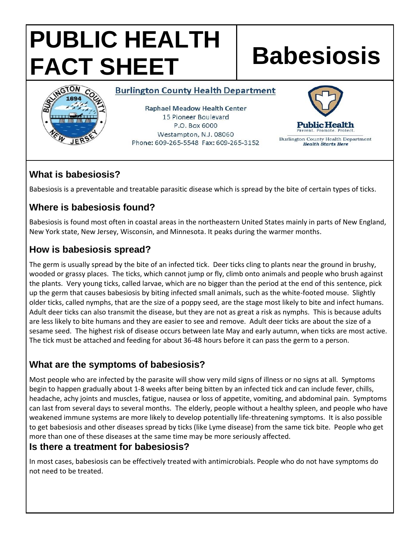# **PUBLIC HEALTH FACT SHEET Babesiosis**



#### **Burlington County Health Department**

**Raphael Meadow Health Center** 15 Pioneer Boulevard P.O. Box 6000 Westampton, N.J. 08060 Phone: 609-265-5548 Fax: 609-265-3152



Burlington County Health Department **Health Starts Here** 

# **What is babesiosis?**

Babesiosis is a preventable and treatable parasitic disease which is spread by the bite of certain types of ticks.

# **Where is babesiosis found?**

Babesiosis is found most often in coastal areas in the northeastern United States mainly in parts of New England, New York state, New Jersey, Wisconsin, and Minnesota. It peaks during the warmer months.

## **How is babesiosis spread?**

The germ is usually spread by the bite of an infected tick. Deer ticks cling to plants near the ground in brushy, wooded or grassy places. The ticks, which cannot jump or fly, climb onto animals and people who brush against the plants. Very young ticks, called larvae, which are no bigger than the period at the end of this sentence, pick up the germ that causes babesiosis by biting infected small animals, such as the white-footed mouse. Slightly older ticks, called nymphs, that are the size of a poppy seed, are the stage most likely to bite and infect humans. Adult deer ticks can also transmit the disease, but they are not as great a risk as nymphs. This is because adults are less likely to bite humans and they are easier to see and remove. Adult deer ticks are about the size of a sesame seed. The highest risk of disease occurs between late May and early autumn, when ticks are most active. The tick must be attached and feeding for about 36-48 hours before it can pass the germ to a person.

# **What are the symptoms of babesiosis?**

Most people who are infected by the parasite will show very mild signs of illness or no signs at all. Symptoms begin to happen gradually about 1-8 weeks after being bitten by an infected tick and can include fever, chills, headache, achy joints and muscles, fatigue, nausea or loss of appetite, vomiting, and abdominal pain. Symptoms can last from several days to several months. The elderly, people without a healthy spleen, and people who have weakened immune systems are more likely to develop potentially life-threatening symptoms. It is also possible to get babesiosis and other diseases spread by ticks (like Lyme disease) from the same tick bite. People who get more than one of these diseases at the same time may be more seriously affected.

### **Is there a treatment for babesiosis?**

In most cases, babesiosis can be effectively treated with antimicrobials. People who do not have symptoms do not need to be treated.